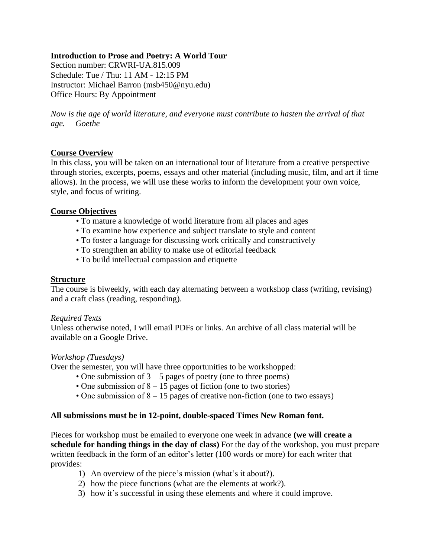## **Introduction to Prose and Poetry: A World Tour**

Section number: CRWRI-UA.815.009 Schedule: Tue / Thu: 11 AM - 12:15 PM Instructor: Michael Barron (msb450@nyu.edu) Office Hours: By Appointment

*Now is the age of world literature, and everyone must contribute to hasten the arrival of that age.* —*Goethe*

## **Course Overview**

In this class, you will be taken on an international tour of literature from a creative perspective through stories, excerpts, poems, essays and other material (including music, film, and art if time allows). In the process, we will use these works to inform the development your own voice, style, and focus of writing.

## **Course Objectives**

- To mature a knowledge of world literature from all places and ages
- To examine how experience and subject translate to style and content
- To foster a language for discussing work critically and constructively
- To strengthen an ability to make use of editorial feedback
- To build intellectual compassion and etiquette

#### **Structure**

The course is biweekly, with each day alternating between a workshop class (writing, revising) and a craft class (reading, responding).

#### *Required Texts*

Unless otherwise noted, I will email PDFs or links. An archive of all class material will be available on a Google Drive.

#### *Workshop (Tuesdays)*

Over the semester, you will have three opportunities to be workshopped:

- One submission of  $3 5$  pages of poetry (one to three poems)
- One submission of 8 15 pages of fiction (one to two stories)
- One submission of 8 15 pages of creative non-fiction (one to two essays)

#### **All submissions must be in 12-point, double-spaced Times New Roman font.**

Pieces for workshop must be emailed to everyone one week in advance **(we will create a schedule for handing things in the day of class)** For the day of the workshop, you must prepare written feedback in the form of an editor's letter (100 words or more) for each writer that provides:

- 1) An overview of the piece's mission (what's it about?).
- 2) how the piece functions (what are the elements at work?).
- 3) how it's successful in using these elements and where it could improve.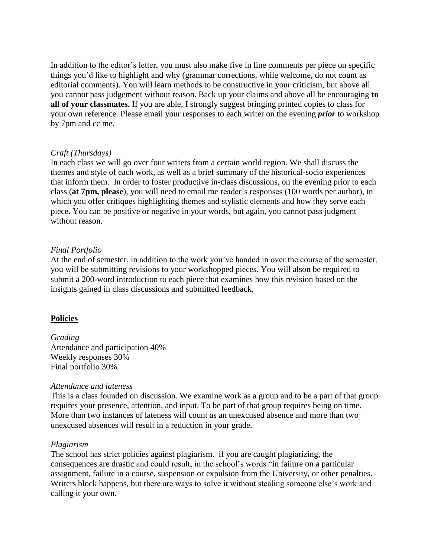In addition to the editor's letter, you must also make five in line comments per piece on specific things you'd like to highlight and why (grammar corrections, while welcome, do not count as editorial comments). You will learn methods to be constructive in your criticism, but above all you cannot pass judgement without reason. Back up your claims and above all be encouraging **to all of your classmates.** If you are able, I strongly suggest bringing printed copies to class for your own reference. Please email your responses to each writer on the evening *prior* to workshop by 7pm and cc me.

## *Craft (Thursdays)*

In each class we will go over four writers from a certain world region. We shall discuss the themes and style of each work, as well as a brief summary of the historical-socio experiences that inform them. In order to foster productive in-class discussions, on the evening prior to each class (**at 7pm, please**), you will need to email me reader's responses (100 words per author), in which you offer critiques highlighting themes and stylistic elements and how they serve each piece. You can be positive or negative in your words, but again, you cannot pass judgment without reason.

## *Final Portfolio*

At the end of semester, in addition to the work you've handed in over the course of the semester, you will be submitting revisions to your workshopped pieces. You will alson be required to submit a 200-word introduction to each piece that examines how this revision based on the insights gained in class discussions and submitted feedback.

## **Policies**

*Grading* Attendance and participation 40% Weekly responses 30% Final portfolio 30%

#### *Attendance and lateness*

This is a class founded on discussion. We examine work as a group and to be a part of that group requires your presence, attention, and input. To be part of that group requires being on time. More than two instances of lateness will count as an unexcused absence and more than two unexcused absences will result in a reduction in your grade.

#### *Plagiarism*

The school has strict policies against plagiarism. if you are caught plagiarizing, the consequences are drastic and could result, in the school's words "in failure on a particular assignment, failure in a course, suspension or expulsion from the University, or other penalties. Writers block happens, but there are ways to solve it without stealing someone else's work and calling it your own.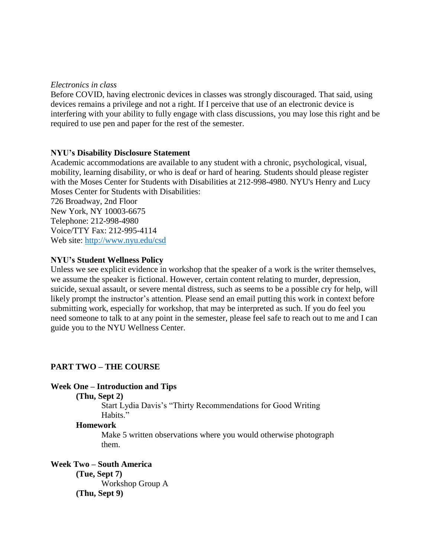## *Electronics in class*

Before COVID, having electronic devices in classes was strongly discouraged. That said, using devices remains a privilege and not a right. If I perceive that use of an electronic device is interfering with your ability to fully engage with class discussions, you may lose this right and be required to use pen and paper for the rest of the semester.

## **NYU's Disability Disclosure Statement**

Academic accommodations are available to any student with a chronic, psychological, visual, mobility, learning disability, or who is deaf or hard of hearing. Students should please register with the Moses Center for Students with Disabilities at 212-998-4980. NYU's Henry and Lucy Moses Center for Students with Disabilities:

726 Broadway, 2nd Floor New York, NY 10003-6675 Telephone: 212-998-4980 Voice/TTY Fax: 212-995-4114 Web site: <http://www.nyu.edu/csd>

## **NYU's Student Wellness Policy**

Unless we see explicit evidence in workshop that the speaker of a work is the writer themselves, we assume the speaker is fictional. However, certain content relating to murder, depression, suicide, sexual assault, or severe mental distress, such as seems to be a possible cry for help, will likely prompt the instructor's attention. Please send an email putting this work in context before submitting work, especially for workshop, that may be interpreted as such. If you do feel you need someone to talk to at any point in the semester, please feel safe to reach out to me and I can guide you to the NYU Wellness Center.

## **PART TWO – THE COURSE**

## **Week One – Introduction and Tips**

#### **(Thu, Sept 2)**

Start Lydia Davis's "Thirty Recommendations for Good Writing Habits."

#### **Homework**

Make 5 written observations where you would otherwise photograph them.

# **Week Two – South America**

**(Tue, Sept 7)**  Workshop Group A **(Thu, Sept 9)**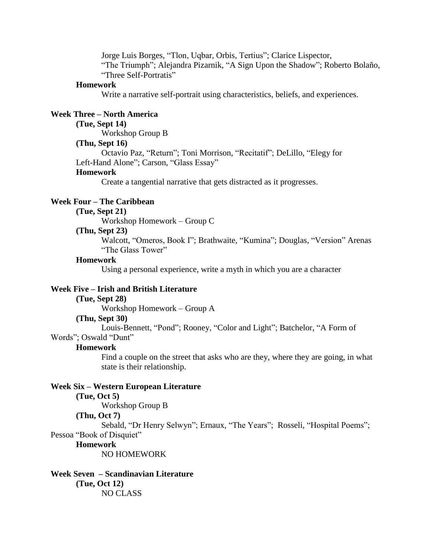Jorge Luis Borges, "Tlon, Uqbar, Orbis, Tertius"; Clarice Lispector, "The Triumph"; Alejandra Pizarnik, "A Sign Upon the Shadow"; Roberto Bolaño, "Three Self-Portratis"

#### **Homework**

Write a narrative self-portrait using characteristics, beliefs, and experiences.

### **Week Three – North America**

## **(Tue, Sept 14)**

Workshop Group B

## **(Thu, Sept 16)**

Octavio Paz, "Return"; Toni Morrison, "Recitatif"; DeLillo, "Elegy for Left-Hand Alone"; Carson, "Glass Essay"

#### **Homework**

Create a tangential narrative that gets distracted as it progresses.

## **Week Four – The Caribbean**

### **(Tue, Sept 21)**

Workshop Homework – Group C

#### **(Thu, Sept 23)**

Walcott, "Omeros, Book I"; Brathwaite, "Kumina"; Douglas, "Version" Arenas "The Glass Tower"

#### **Homework**

Using a personal experience, write a myth in which you are a character

#### **Week Five – Irish and British Literature**

#### **(Tue, Sept 28)**

Workshop Homework – Group A

#### **(Thu, Sept 30)**

Louis-Bennett, "Pond"; Rooney, "Color and Light"; Batchelor, "A Form of Words"; Oswald "Dunt"

## **Homework**

Find a couple on the street that asks who are they, where they are going, in what state is their relationship.

#### **Week Six – Western European Literature**

## **(Tue, Oct 5)**

Workshop Group B

### **(Thu, Oct 7)**

Sebald, "Dr Henry Selwyn"; Ernaux, "The Years"; Rosseli, "Hospital Poems"; Pessoa "Book of Disquiet"

#### **Homework**

NO HOMEWORK

#### **Week Seven – Scandinavian Literature (Tue, Oct 12)** NO CLASS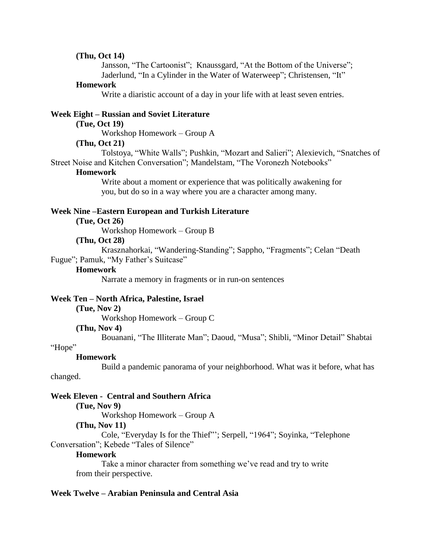### **(Thu, Oct 14)**

Jansson, "The Cartoonist"; Knaussgard, "At the Bottom of the Universe"; Jaderlund, "In a Cylinder in the Water of Waterweep"; Christensen, "It"

#### **Homework**

Write a diaristic account of a day in your life with at least seven entries.

### **Week Eight – Russian and Soviet Literature**

### **(Tue, Oct 19)**

Workshop Homework – Group A

#### **(Thu, Oct 21)**

Tolstoya, "White Walls"; Pushkin, "Mozart and Salieri"; Alexievich, "Snatches of Street Noise and Kitchen Conversation"; Mandelstam, "The Voronezh Notebooks"

#### **Homework**

Write about a moment or experience that was politically awakening for you, but do so in a way where you are a character among many.

#### **Week Nine –Eastern European and Turkish Literature**

## **(Tue, Oct 26)**

Workshop Homework – Group B

### **(Thu, Oct 28)**

Krasznahorkai, "Wandering-Standing"; Sappho, "Fragments"; Celan "Death Fugue"; Pamuk, "My Father's Suitcase"

#### **Homework**

Narrate a memory in fragments or in run-on sentences

#### **Week Ten – North Africa, Palestine, Israel**

**(Tue, Nov 2)**

Workshop Homework – Group C

#### **(Thu, Nov 4)**

Bouanani, "The Illiterate Man"; Daoud, "Musa"; Shibli, "Minor Detail" Shabtai

### "Hope"

#### **Homework**

Build a pandemic panorama of your neighborhood. What was it before, what has

## changed.

## **Week Eleven - Central and Southern Africa**

**(Tue, Nov 9)**

Workshop Homework – Group A

## **(Thu, Nov 11)**

Cole, "Everyday Is for the Thief"'; Serpell, "1964"; Soyinka, "Telephone Conversation"; Kebede "Tales of Silence"

## **Homework**

Take a minor character from something we've read and try to write from their perspective.

## **Week Twelve – Arabian Peninsula and Central Asia**